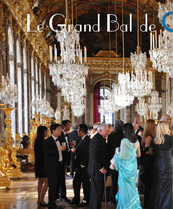# Regnd Ballde

**86**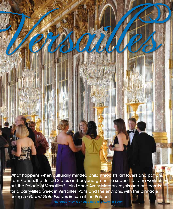What happens when culturally minded philanthropists, art lovers and patrons from France, the United States and beyond gather to support a living work of art, the Palace of Versailles? Join Lance Avery Morgan, royals and aristocrats, for a party-flled week in Versailles, Paris and the environs, with the pinnacle being Le Grand Gala Extraordinaire at the Palace.

Verbeuren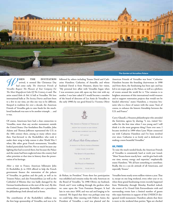

**HEN THE INVITATION**  arrived, it seemed like Christmas Day had come early. The American Friends of Versailles Request The Pleasure of Your Company For The Most Magnificent Gala Of The Century, it said. The attire stated Robe de Bal. A ball at Versailles. We love international balls at The Society Diaries and have been to a few in our time, yet this one was to be diferent. Steeped in tradition for over a decade, the American Friends of Versailles gala to raise funds for the muchloved landmark was sure to be another triumph . . . and it was.

Of course, Americans have had a close connection to Versailles, more than any secular monument outside the United States. Our forefathers Ben Franklin, John Adams and Thomas Jefferson represented the U.S. in the 18th century there, among so many others since then. Fast-forward to the Rockefellers who took it under their wing to help restore it after World War I when, like other great French monuments, Versailles looked particularly hard-hit. Not so much because any fghting that had occurred there, but because the Palace and the estate had been neglected since the country had other priorities at that time in history than the preservation of its heritage.

After a visit to France, American billionaire John D. Rockefeller, Jr. in 1924 offered to help the French government fnance the restoration of the palaces of Versailles, its gardens and the park, as well as its Trianon Palace, and also Fontainebleau (as well as the Cathedral of Rheims that was badly damaged by the German bombardments at the start of the war). By this extraordinary generosity, Rockefeller set a precedence for philanthropy both abroad and at home.

The contribution of the Rockefeller's millions was the frst large sponsorship of Versailles, and was to be followed by others including Texans David and Catharine Hamilton. Catharine, of Amarillo, and whose husband David is from Houston, shares her vision, "My personal love affair with Versailles began when I was seventeen years old, upon my frst visit with my mother. I was later asked if I would become a member of the board of directors of Les Amis de Versailles in the early 1990's by our good friend Le Vicomte, Oliver



de Rohan, its President." From there her participation was solidifed and remains today the only American on the Board of Versailles. "In 1996 Olivier, my husband, David, and I were walking through the gardens when we came upon the Trois Fontaines Bosquet. It had lain in ruin since 1830, and was sad and longing to be restored. We hoped that there was perhaps some way we could help. After meeting with Hubert Astier, the President of Versailles, a seed was planted and the

### **The Garden at Versailles Palace**

American Friends of Versailles was born." Catharine Hamilton became the founding chairwoman in 1998 and from there, the fundraising has been epic and has led to six major galas at the Palace, as well as a plethora of events around the world for it. "Our mission is to heighten awareness of this international world treasure and to support restoration projects that would not be funded otherwise," states Hamilton, a vivacious brunette who is a force of nature with the cause. "And, of course, to enhance the historic friendship between the U.S. and France."

Curry Glassell, a Houston philanthropist who attended the festivities, agrees by sharing, "I, too, visited Versailles for the frst time when I was young and I still think it is the most gorgeous thing I have ever seen. I became involved in 1999 when Lynn Wyatt connected me with Catharine Hamilton and I've been involved ever since. Catharine is so lovely and is dedicated to making a more beautiful Versailles."

### **AH, PARIS**

To raise the much-needed funds, the American Friends of Versailles is consistently hard at work year 'round. "Most Texans know exactly how - and do give back with our time, money, energy and expertise," emphatically states Hamilton. "We all have something to contribute. Really, this is a can-do attitude of all Americans, and especially Texans."

Versailles hosts nearly seven million visitors a year. That is, except on one long weekend, every other year or so, when these grand fundraising events recently happened from Wednesday through Monday. Rarefed indeed, the events of Le Grand Gala Extraordinaire with and surrounding events have a limited number of guests who enjoy festivities in support of this UNESCO-designated world monument. Hamilton admits that there is more to the weekend than parties, "Egos are checked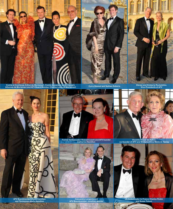

**Comte et Comtesse Arthur de Mortemart, Comte Alexandre de Mortemart, Athenias de Mortemart and AFV Board Member Charles-Louis de Mortemart**

**Curry Glassel and Nathan Roberts Steven and Kimberly Rockefeller, Vice-Presidents of AFV**





**CARD DOGS** 



**Cassandra Longoria and AFV Boardmember Jonathan Marder**



**Vicomte Olivier de Rohan, co-founder of AFV and Madame Anne Marie de Ganay**



**US Ambassador to France Charles Rivkin and Susan Tolson**

**AFV Boardmember David Hamilton and Tennessee Alexis Hamilton**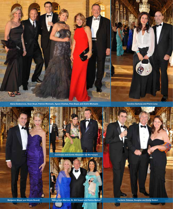

Alena Gedesnova, Sean Boyd, Patrick Micheals, Agnes Chaitas, Peta Boyd, and Andre Michaels **Caroline Sarkozy and Pierre Levy** 



œ





**Nancy Cain Marcus, Dr. Bill Vowell and Rekha Mallya Benjamin Meyer and Nicole Brandt Ferderic Odassa, Douglas and Emily Siefert**



a u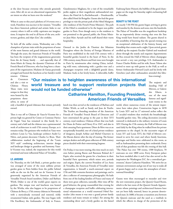at the door because everyone who attends genuinely cares. After all, we are an educational organization. We are intent on what we learn over the weekend."

When it came to this year's plethora of 14 events over a week, Hamilton was succinct in her mission. "Versailles has direct historical, political and artistic links to our country where it still so richly captivates our imaginations. It inspires the soul in all facets of the arts, architecture, gardens, and objet d'art," she confdes.

To kick off the stellar events, Wednesday saw a fête champêtre of private visits with the proprietors of some of the most famous and grand châteaux in the world. Through the years, the American Friends of Versailles has been the recipient of the magnanimous generosity from the de Ganay family . . . and especially that of Anne-Marie de Ganay, the dynamic Chairman of the French Board of Directors, who has long been a champion of the organization. Madame de Ganay graciously arranged and hosted the luncheon at her family's world

renown Château de Courances and also a visit to Château Fleury. These visits were unique in that they were hosted by the proprietors themselves, in some of

only a handful of grand châteaux that remain privately owned.

Then it was off to Château de Vaux-le-Vicomte for a private high tea greeted by Comte et Comtesse Patrice de Voguë. Vaux has remained in this family for a century and a half and the château was a quintessential work of architecture in mid-17th century Europe, as it remains today. The geniuses who worked on Vaux were architect Louis Le Vau, landscape architect André Le Nôtre, and painter-decorator Charles Le Brun. Their collaboration marked the beginning of the "Louis XIV style" combining architecture, interior design and landscape design in grandeur and harmony. Vauxle-Vicomte was, indeed, the inspiration for this world renowned and most infuential Palace of Versailles.

# **LE JARDINS**

On Thursday, on the Left Bank, a private garden tour was arranged of some of the most sublime private garden gems in Paris hidden from the public behind walls on the rue du Bac and rue de Varenne. It was generously organized by the American Friends of Versailles' French board members, Didier and Barbara Wirth. Didier is one of the world's great experts on gardens. The unique tour and luncheon was hosted by the Wirths, who also happen to be proprietors of Château de Brecy, a 17th century château in Normandy with a meticulously recreated and restored, richly ornamented Italian style garden. The tour began with His Excellency the Ambassador of Italy to France,

Giandomenico Magliano, for a visit of the remarkable jardin anglais at their magnificent ambassadorial residence, the Hotel de La Rochefoucault – Doudeauville, also called Hotel de Boisgelin. Guests also had the great privilege to visit the private park of the Hôtel Matignon (the residence of the French Prime Minister). The park of the Hôtel is considered to be the largest non-public garden in Paris. Even though entry to the residence is not permitted to the general public, the Prime Minister Jean-Marc Ayrault and his staf shared their warm hospitality.

Onward to the Jardin de l'Institut des Missions Étrangères where the Society of Foreign Missions of Paris was established in the mid-17th century with a beautiful garden located in the heart of Paris. In the 19th century, many fowers and fruit trees were brought to Paris by missionaries after visiting China, including wild roses, culminating with a garden tour and a champagne reception with a delightful grande dame, Madame Audi, in her lovely home. A delectable, bufet Faubourg Saint-Honoré, the bubbles of the good champagne set the stage for Saturday night's enchanting ball at Versailles.

# **BEAUTY & THE FEAST**

**American Friends of Versailles**

At exactly 7:30 PM the guests began arriving in gowns and tuxedos by the dozens and soon, into the hundreds. The Palace of Versailles was the magnificent backdrop for an impressively divine evening that even the Sun King would have found radiant. The guests shared in the sensibility of knowing that the special evening was an exceptional celebration of the history, beauty and friendship that creates such a night. Upon arrival, guests strolled up the majestic Escalier Gabriel and wandered about through the stately and exquisite Appartements du Roi, toward the Hall of Mirrors where champagne was served: a very rare privilege. U.S. Ambassador to France Charles Rivkin and his wife, Susan Tolson also arrived to meet up with guests in the Hall, as well as former Ambassador Howard Leach and his lovely wife Gretchen (and other ambassadors attended this fabu-

lous evening).

**"Our mission is to heighten awareness of this international world treasure and to support restoration projects that would not be funded otherwise" Catharine Hamilton, Founding President,** 

The majestic and dazzling Hall of Mirrors, or Galerie des Glaces, one of the most famous and significant rooms in the

lunch was then served at the residences of Barbara and Didier Wirth, as well as Sandy and Jean de Yturbe. The Yturbes are founding members of the American Friends of Versailles' French Board of Directors and have entertained the group in the past in their XVI century, royal residence, Château d'Anet that was built for Diane de Poitier and Henry II in 1547, and also in their amazing Paris apartment. Dîner de Rêve was at an exceptionally beautiful, one-of-a-kind private residence of designers, Joseph Achkar and Michel Charriere in the Marais district after the day of touring. The former antique dealers and still-great collectors of 18th century pieces dazzled with their entertaining largesse.

On Friday, it was more touring, this time much on one's own before joining Baron and Baroness Roland de l' Espée, who received the guests for a luncheon in their beautiful Paris apartment, which mixes arts, periods and origins. Espée, the current President of Les Amis de Versailles, the American Friends of Versailles' sister organization, is himself a much-esteemed expert on 17th and 18th centuries furniture and paintings, and is also a collector of contemporary photographs. He hails from one of the leading families of France and many of them were great collectors, naturally. After time off for good behavior, the group reassembled that evening for a champagne reception and bufet celebrating international volunteerism at a world renowned Hôtel Particulier (this means it was once a grand private family residence and many remain so today). Set among the outstanding décor and a lovely garden on the famed

world, where numerous events of the utmost importance have taken place. Construction began in 1678 by Louis XIV and its 17 mirrored arches refect the 17 arcaded windows that overlook the breathtakingly beautiful garden vista. The ceiling decoration (recently restored) is dedicated to the military victories of Louis XIV. During the 17th century, the Hall of Mirrors was used daily by the King when he walked from his private apartments to the chapel. In the successive reigns of Louis XV and Louis XVI, the Hall of Mirrors continued to serve for court and where family functions, marriages and births were celebrated in this room, as well as Ambassadors presenting their credentials. Every inch of that grandness was felt the evening of this ball. "The Palace has over 700 rooms, 1300 fireplaces, 70 staircases on over 1800 acres. Every European palace has been modeled after it and it has also served as the inspiration for Washington D.C. for a centralized government," shares Catharine Hamilton. "We strive for an intimate environment and go out of our way to make all of guests happy and to create the atmosphere of international friendship."

Guests were then encouraged to meander and view the new restoration project, the Queen's Guard Room, which is the last room of the Queen's Grands Appartements whose paintings and architectural features have not yet been fully restored, hence its present deteriorated state. In 1680, it became a transition area between the Queen's staircase and the used as a vestibule in which the officers in charge of the protection of the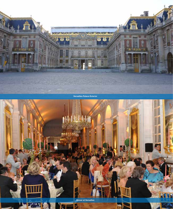

**Versailles Palace Exterior**

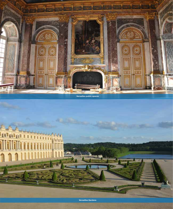



£, **William** 

**Fel gel pe**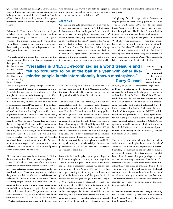Queen were stationed day and night. Several million people will view this important room annually and the ball's guests are reminded that the American Friends of Versailles is thrilled to help restore the exquisite frescoes and other architectural details to their original beauty.

Drinks on the Terrace of the Palace was the ideal spot to behold the royal garden perspective, with the fountains playing along the Grande Allée as the golden twilight of the evening sparkled on the waters of the Grand Canal. One could have spent the entire evening there, basking in the soignée of the begowned and tuxedoed guests illuminated as the sun set.

Who could eat at a time like this, while savoring this magical moment of beauty and history. The guests were

then greeted for the State dinner in the Grand Trianon's Galerie des Cotelle with its memorizing décor of original

vote per family. That way they can both be engaged in the organization and each can participate in a multitude of events we have beyond the ball weekend."

### **APRÈS BALL**

On Sunday, the gala atmosphere weekend was far from over. A champagne reception at 7:30 PM hosted by Monsieur and Madame Benjamin Steinitz in their world renown antiques galerie, showcasing works of several Chinese artists, in partnership with Kimberly and Steven Rockefeller, Vice Presidents of the American Friends of Versailles, as well as founders of the Rose Rock Culture Group. The Rose Rock Culture Group seeks to establish businesses that create credible channels for art exchange and increase awareness and understanding of the many currents of Chinese culture. This international cultural exchange evening was followed by artisans for making this important restoration a dream come true.

Still glowing from the night before's festivities, an elegant picnic followed, taking place in the Petit Trianon, which Louis XVI gave to his queen, Marie-Antoinette, for her to enjoy private time away from the royal court. The Pavilion Frais, the Pavilion Français, Marie Antoinette's theater (un bijoux), and le Petit Trianon, were open to the guests - the ultimate! Wow! They were encouraged to wear their favorite hat to add to the fun. In addition to many gifts, the American Friends of Versailles has thus far given over \$1.5 million to the restoration of the Pavilion Frais. It was originally used on warm spring and summer days as a private dining room for Queen Marie-Antoinette, ladies of the court and often included the King.

**"Versailles is UNESCO-recognized as a world treasure and I felt so fortunate to be at the ball this year with other likeminded people in this internationally-known masterpiece." Curry Glassell**

Wrapping up the weekend's glam merriment, a bufet dinner was served in the beautiful embassy

17th century garden bosquet paintings commissioned by Louis XIV, and the cuisine was prepared by one of France's leading caterers. The French know their epicurean place in the world and this evening was no diferent. Dinner was served in the exact spot where, in 1687 the Grand Trianon, set within its own park, was built at the request of Louis XIV, as a retreat where the King and invited guests dined away from the strict etiquette of the Court. After the Sun King's death in 1715, many Royals lived there for the next 100 years and following the Revolution, Napoleon lived at Trianon with his second wife, Marie Louise of Austria. Today, it is one of the French Republic Presidential residences that is used to host foreign dignitaries. The evening's dinner was in honor of John D. Rockefeller, Jr. and representing this family were AFV Board Members Steven and Kimberly Rockefeller. The American Friends of Versailles remains dedicated to maintaining the noble American tradition of patronage to world treasures in its continued service and commitment to restoration and preservation of the Château de Versailles.

After much conversation and then dessert, at 11:30 PM the sky was illuminated by a spectacular display of freworks, feux d'artifice, in the manner of the 18th century, which was an unbelievable feast for the eyes. After the fery skies subsided, dancing commenced under the marble columned Péristyle with its phenomenal view of the gardens and Michael Carney, the well-known and acclaimed U.S. orchestra leader, on the piano. "There is something unique about the American Friends of Versailles, in that we make it a family affair where tickets are available for a lower subscription fee for children and grandchildren of guests. The juniors have a memorable experience. They have so much fun they do not want the music to stop," muses Catharine Hamilton. "We also put husbands and wives on the board – one dinner and dancing in the exquisite Parisian residence of Vice Presidents of the Board, Monsieur Juan Pablo Molyneux, the acclaimed international interior designer along with his wife, Madame Pilar Molyneux.

The Molyneux couple are charming, delightful and accomplished and they entertain with delectable innovation, warmth, fun and are the pinnacle of great style. The Hôtel Claude Passart with its lovely garden, is the magnifcent 17th century private residence in Paris of the Molyneux. The Michael Carney Orchestra entertained again like the night before. The guest of honor this evening was Her Royal Highness, Princesse Béatrice de Bourbon des Deux Siciles, mother of Their Imperial Highnesses Caroline and Jean Christophe Napoleon. She is a direct descendant of the Bourbon kings and queens who reigned throughout Europe and had a tremendous infuence throughout the world. She is very charming and an acknowledged historian and philanthropist. We just love a woman whose pedigree is as esteemed as she is chic.

Meanwhile, back at the palace, guests gathered again at high noon for a glass of champagne in the magnifcent Trois Fontaines Bosquet. The re-creation and restoration of this extraordinary treasure was the frst restoration project by the American Friends of Versailles. A plaque honoring all of the major contributors was placed at the lower entrance of this grove. Le Nôtre's masterpiece was designed along with the Sun King in 1677, it was lain to ruin by 1830, and reopened to its original splendor in 2004. During this visit, the exquisite fountains cascaded with water reaching to the sky and is a lasting symbol of American French history and tradition, much like that of the Statue of Liberty. The American Friends of Versailles extended a heartfelt toast to all the donors, volunteers, the committee, and of Chile, as guests of Ambassador Jorge Edwards in Paris, who returned to the diplomatic service as Ambassador to France under the present government of President Sebastiàn Piñera. The Chilean Embassy was built in 1907 by architect René Sergent, who also built several other hotels particuliers and châteaux, and in particular, the Hotel de Marlborough (now the Indian embassy). The Chilean Ambassador in Paris is also the Chilean representative to UNESCO and the mixed-emotion gathering was a ftting splendiferous farewell to the spirited multi-faceted assemblage of high society and high culture. "Versailles is UNESCO-recognized as a world treasure and I felt so fortunate to be at the ball this year with other like-minded people in this internationally-known masterpiece," confded Houstonian Curry Glassell.

This palace treasure has been bestowed over six million dollars since its founding by the American Friends of Versailles. The heart of the organization, Catharine Hamilton, best summed up the extended week fundraising gala by saying, "I have been inspired, humbled, honored and I consider it a great privilege to be part of this extraordinary international endeavor. Our works could never have been accomplished without the extraordinary chairmen, co-chairmen, friends, hosts, supporters, and contributors. Hand in hand the French and Americans unite across the Atlantic in support of our allies and this great museum in true friendship. The American Friends of Versailles would cherish and ultimately appreciate your participation in this noble international endeavor."

**For more information on how you can enjoy supporting the American Friends of Versailles, visit Americanfriendsofversailles.org or by contacting info@americanfriendsofversailles.org**